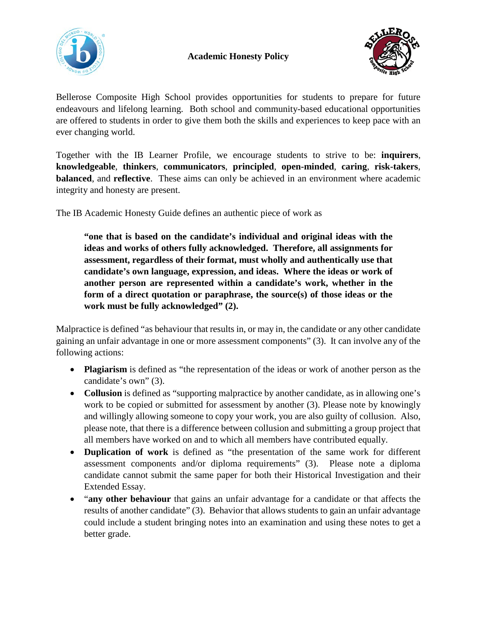



Bellerose Composite High School provides opportunities for students to prepare for future endeavours and lifelong learning. Both school and community-based educational opportunities are offered to students in order to give them both the skills and experiences to keep pace with an ever changing world.

Together with the IB Learner Profile, we encourage students to strive to be: **inquirers**, **knowledgeable**, **thinkers**, **communicators**, **principled**, **open-minded**, **caring**, **risk-takers**, **balanced**, and **reflective**. These aims can only be achieved in an environment where academic integrity and honesty are present.

The IB Academic Honesty Guide defines an authentic piece of work as

**"one that is based on the candidate's individual and original ideas with the ideas and works of others fully acknowledged. Therefore, all assignments for assessment, regardless of their format, must wholly and authentically use that candidate's own language, expression, and ideas. Where the ideas or work of another person are represented within a candidate's work, whether in the form of a direct quotation or paraphrase, the source(s) of those ideas or the work must be fully acknowledged" (2).**

Malpractice is defined "as behaviour that results in, or may in, the candidate or any other candidate gaining an unfair advantage in one or more assessment components" (3). It can involve any of the following actions:

- **Plagiarism** is defined as "the representation of the ideas or work of another person as the candidate's own" (3).
- **Collusion** is defined as "supporting malpractice by another candidate, as in allowing one's work to be copied or submitted for assessment by another (3). Please note by knowingly and willingly allowing someone to copy your work, you are also guilty of collusion. Also, please note, that there is a difference between collusion and submitting a group project that all members have worked on and to which all members have contributed equally.
- **Duplication of work** is defined as "the presentation of the same work for different assessment components and/or diploma requirements" (3). Please note a diploma candidate cannot submit the same paper for both their Historical Investigation and their Extended Essay.
- "**any other behaviour** that gains an unfair advantage for a candidate or that affects the results of another candidate" (3). Behavior that allows students to gain an unfair advantage could include a student bringing notes into an examination and using these notes to get a better grade.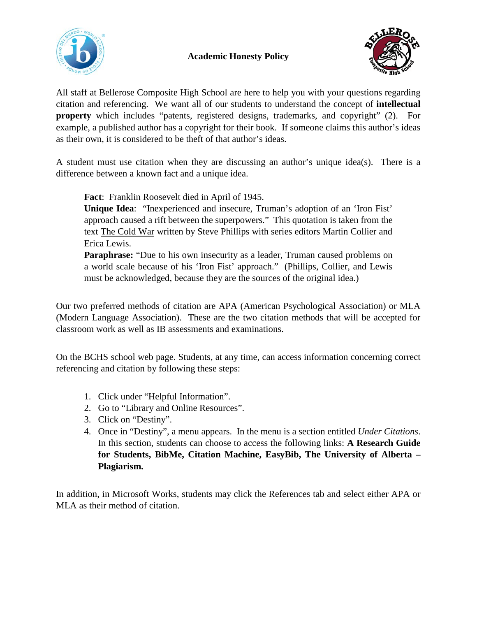



All staff at Bellerose Composite High School are here to help you with your questions regarding citation and referencing. We want all of our students to understand the concept of **intellectual property** which includes "patents, registered designs, trademarks, and copyright" (2). For example, a published author has a copyright for their book. If someone claims this author's ideas as their own, it is considered to be theft of that author's ideas.

A student must use citation when they are discussing an author's unique idea(s). There is a difference between a known fact and a unique idea.

**Fact**: Franklin Roosevelt died in April of 1945.

**Unique Idea**: "Inexperienced and insecure, Truman's adoption of an 'Iron Fist' approach caused a rift between the superpowers." This quotation is taken from the text The Cold War written by Steve Phillips with series editors Martin Collier and Erica Lewis.

**Paraphrase:** "Due to his own insecurity as a leader, Truman caused problems on a world scale because of his 'Iron Fist' approach." (Phillips, Collier, and Lewis must be acknowledged, because they are the sources of the original idea.)

Our two preferred methods of citation are APA (American Psychological Association) or MLA (Modern Language Association). These are the two citation methods that will be accepted for classroom work as well as IB assessments and examinations.

On the BCHS school web page. Students, at any time, can access information concerning correct referencing and citation by following these steps:

- 1. Click under "Helpful Information".
- 2. Go to "Library and Online Resources".
- 3. Click on "Destiny".
- 4. Once in "Destiny", a menu appears. In the menu is a section entitled *Under Citations*. In this section, students can choose to access the following links: **A Research Guide for Students, BibMe, Citation Machine, EasyBib, The University of Alberta – Plagiarism.**

In addition, in Microsoft Works, students may click the References tab and select either APA or MLA as their method of citation.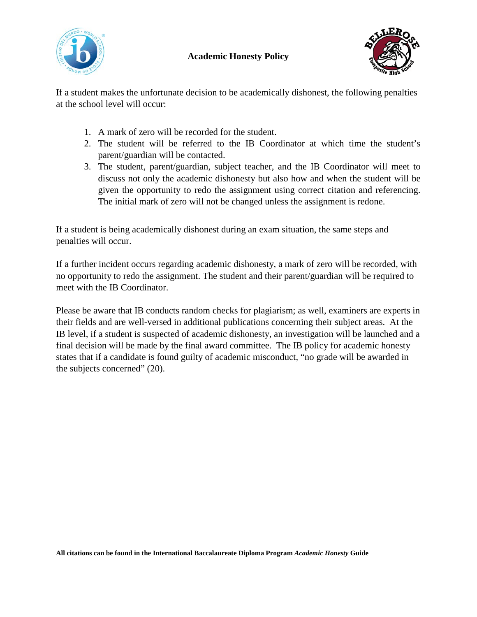

## **Academic Honesty Policy**



If a student makes the unfortunate decision to be academically dishonest, the following penalties at the school level will occur:

- 1. A mark of zero will be recorded for the student.
- 2. The student will be referred to the IB Coordinator at which time the student's parent/guardian will be contacted.
- 3. The student, parent/guardian, subject teacher, and the IB Coordinator will meet to discuss not only the academic dishonesty but also how and when the student will be given the opportunity to redo the assignment using correct citation and referencing. The initial mark of zero will not be changed unless the assignment is redone.

If a student is being academically dishonest during an exam situation, the same steps and penalties will occur.

If a further incident occurs regarding academic dishonesty, a mark of zero will be recorded, with no opportunity to redo the assignment. The student and their parent/guardian will be required to meet with the IB Coordinator.

Please be aware that IB conducts random checks for plagiarism; as well, examiners are experts in their fields and are well-versed in additional publications concerning their subject areas. At the IB level, if a student is suspected of academic dishonesty, an investigation will be launched and a final decision will be made by the final award committee. The IB policy for academic honesty states that if a candidate is found guilty of academic misconduct, "no grade will be awarded in the subjects concerned" (20).